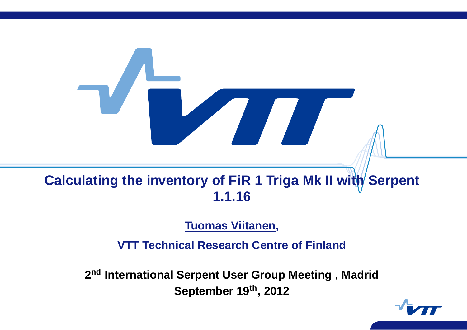# **Calculating the inventory of FiR 1 Triga Mk II with Serpent 1.1.16**

#### **Tuomas Viitanen,**

**VTT Technical Research Centre of Finland**

**<sup>2</sup>nd International Serpent User Group Meeting , Madrid September <sup>19</sup>th, <sup>2012</sup>**

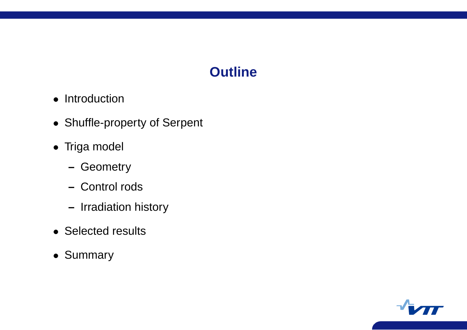### **Outline**

- Introduction
- Shuffle-property of Serpent
- Triga model
	- **–** Geometry
	- **–** Control rods
	- **–** Irradiation history
- Selected results
- Summary

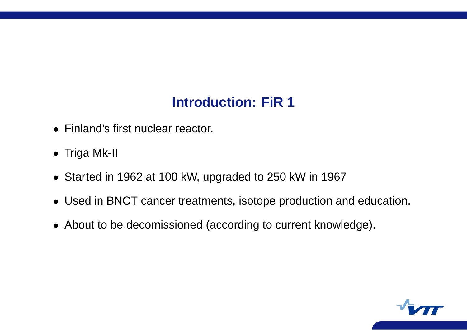## **Introduction: FiR 1**

- Finland's first nuclear reactor.
- Triga Mk-II
- Started in 1962 at 100 kW, upgraded to 250 kW in 1967
- Used in BNCT cancer treatments, isotope production and education.
- About to be decomissioned (according to current knowledge).

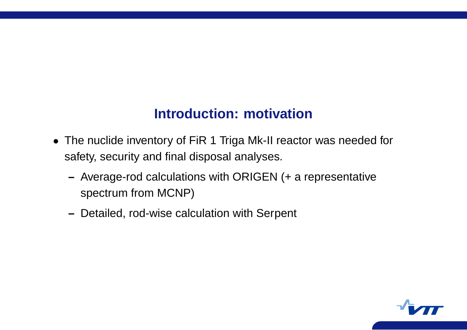#### **Introduction: motivation**

- The nuclide inventory of FiR 1 Triga Mk-II reactor was needed for safety, security and final disposal analyses.
	- **–** Average-rod calculations with ORIGEN (+ <sup>a</sup> representative spectrum from MCNP)
	- **–** Detailed, rod-wise calculation with Serpent

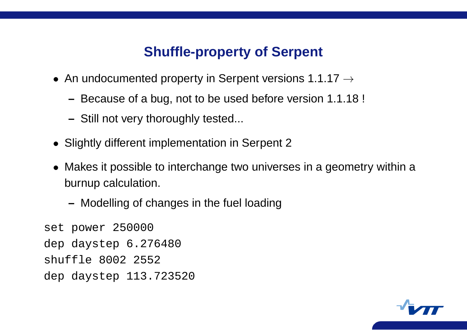#### **Shuffle-property of Serpent**

- An undocumented property in Serpent versions 1.1.17  $\rightarrow$ 
	- **–** Because of <sup>a</sup> bug, not to be used before version 1.1.18 !
	- **–** Still not very thoroughly tested...
- Slightly different implementation in Serpent 2
- Makes it possible to interchange two universes in <sup>a</sup> geometry within <sup>a</sup> burnup calculation.
	- **–** Modelling of changes in the fuel loading

```
set power 250000
dep daystep 6.276480
shuffle 8002 2552
dep daystep 113.723520
```
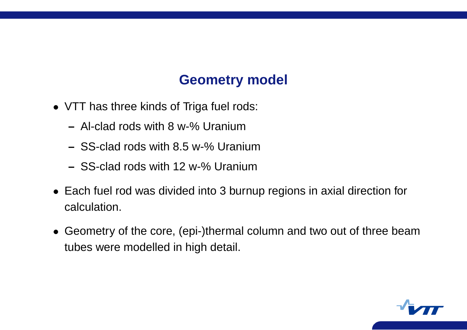#### **Geometry model**

- VTT has three kinds of Triga fuel rods:
	- **–** Al-clad rods with 8 w-% Uranium
	- **–** SS-clad rods with 8.5 w-% Uranium
	- **–** SS-clad rods with 12 w-% Uranium
- Each fuel rod was divided into 3 burnup regions in axial direction for calculation.
- Geometry of the core, (epi-)thermal column and two out of three beam tubes were modelled in high detail.

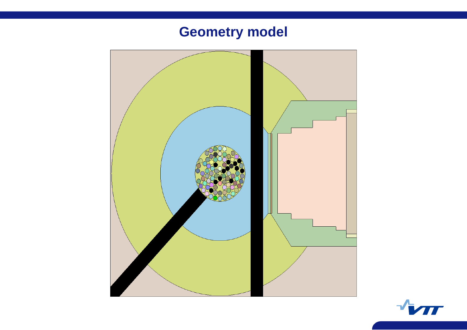## **Geometry model**



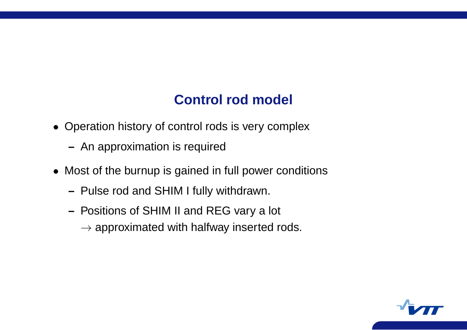### **Control rod model**

- Operation history of control rods is very complex
	- **–** An approximation is required
- Most of the burnup is gained in full power conditions
	- **–** Pulse rod and SHIM I fully withdrawn.
	- **–** Positions of SHIM II and REG vary <sup>a</sup> lot
		- $\rightarrow$  approximated with halfway inserted rods.

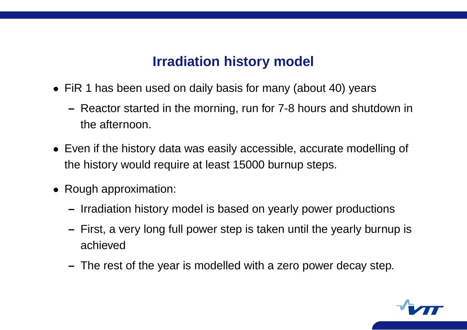#### **Irradiation history model**

- FiR 1 has been used on daily basis for many (about 40) years
	- **–** Reactor started in the morning, run for 7-8 hours and shutdown in the afternoon.
- Even if the history data was easily accessible, accurate modelling of the history would require at least 15000 burnup steps.
- Rough approximation:
	- **–** Irradiation history model is based on yearly power productions
	- **–** First, <sup>a</sup> very long full power step is taken until the yearly burnup is achieved
	- **–** The rest of the year is modelled with <sup>a</sup> zero power decay step.

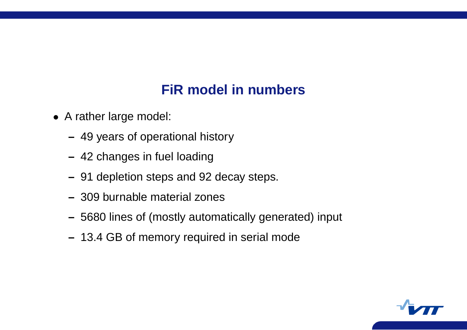### **FiR model in numbers**

- A rather large model:
	- **–** 49 years of operational history
	- **–** 42 changes in fuel loading
	- **–** 91 depletion steps and 92 decay steps.
	- **–** 309 burnable material zones
	- **–** 5680 lines of (mostly automatically generated) input
	- **–** 13.4 GB of memory required in serial mode

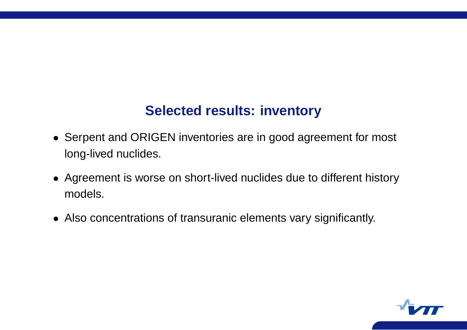#### **Selected results: inventory**

- Serpent and ORIGEN inventories are in good agreement for mos t long-lived nuclides.
- Agreement is worse on short-lived nuclides due to different history models.
- Also concentrations of transuranic elements vary significantly.

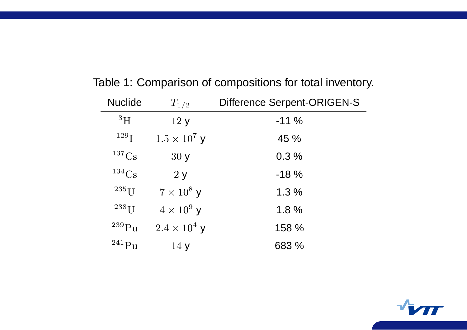| <b>Nuclide</b>      | $T_{1/2}$           | <b>Difference Serpent-ORIGEN-S</b> |
|---------------------|---------------------|------------------------------------|
| ${}^{3}H$           | 12y                 | $-11%$                             |
| 129 <sub>I</sub>    | $1.5 \times 10^7$ y | 45 %                               |
| 137 <sub>Cs</sub>   | 30y                 | 0.3%                               |
| $134C_S$            | 2y                  | $-18%$                             |
| $235$ <sup>T</sup>  | $7 \times 10^8$ y   | 1.3%                               |
| $238$ <sup>T</sup>  | $4 \times 10^9$ y   | 1.8%                               |
| $^{239}\mathrm{Pu}$ | $2.4 \times 10^4$ y | 158 %                              |
| $^{241}Pu$          | 14y                 | 683 %                              |

Table 1: Comparison of compositions for total inventory.

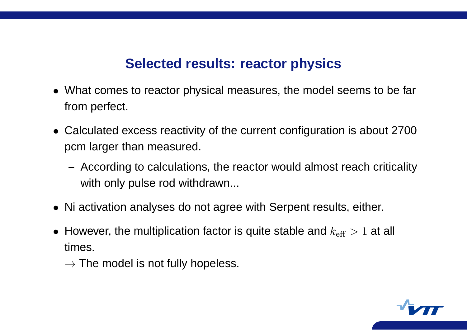#### **Selected results: reactor physics**

- What comes to reactor physical measures, the model seems to be far from perfect.
- Calculated excess reactivity of the current configuration is about 2700 pcm larger than measured.
	- **–** According to calculations, the reactor would almost reach criticality with only pulse rod withdrawn...
- Ni activation analyses do not agree with Serpent results, either.
- However, the multiplication factor is quite stable and  $k_{\rm eff} > 1$  at all times.
	- $\rightarrow$  The model is not fully hopeless.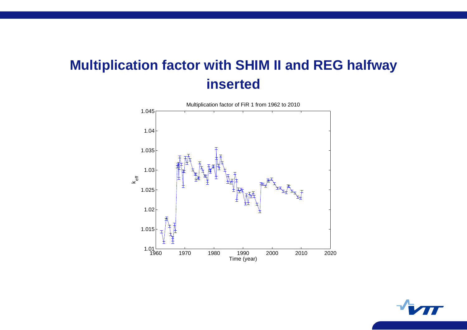## **Multiplication factor with SHIM II and REG halfway inserted**

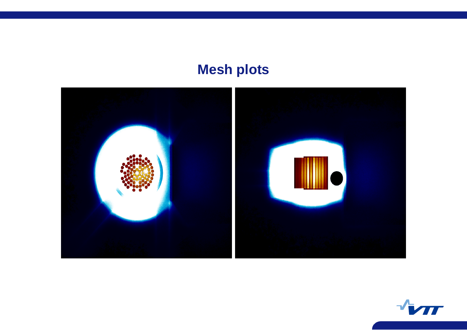## **Mesh plots**



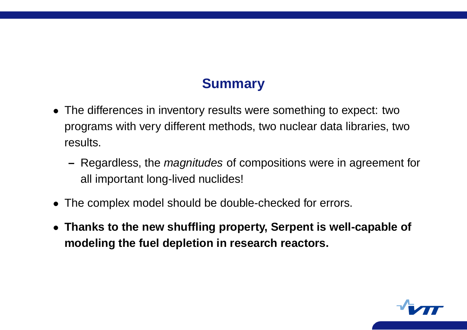#### **Summary**

- The differences in inventory results were something to expect: two programs with very different methods, two nuclear data libraries, two results.
	- **–** Regardless, the magnitudes of compositions were in agreement for all important long-lived nuclides!
- The complex model should be double-checked for errors.
- **Thanks to the new shuffling property, Serpent is well-capable of modeling the fuel depletion in research reactors.**